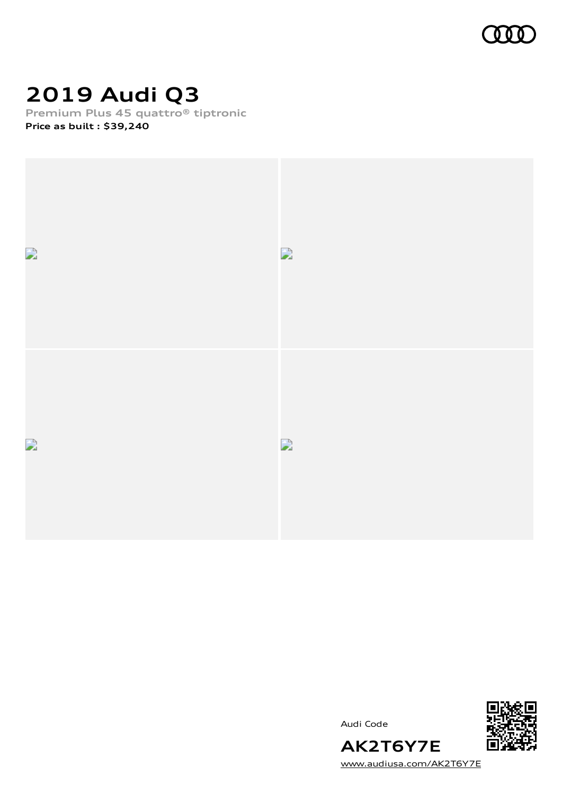

# **2019 Audi Q3**

**Premium Plus 45 quattro® tiptronic Price as built [:](#page-8-0) \$39,240**







Audi Code

[www.audiusa.com/AK2T6Y7E](https://www.audiusa.com/AK2T6Y7E)

**AK2T6Y7E**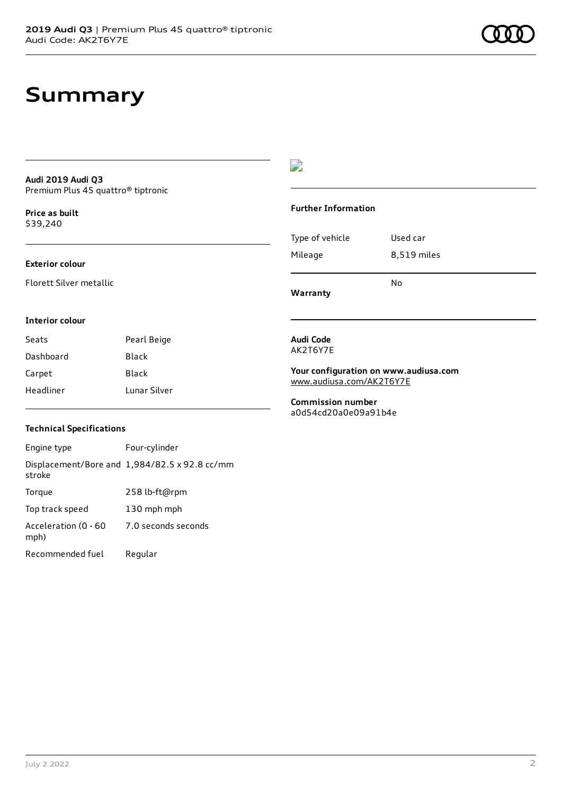#### **Audi 2019 Audi Q3** Premium Plus 45 quattro® tiptronic

**Price as buil[t](#page-8-0)** \$39,240

#### **Exterior colour**

Florett Silver metallic

#### D

#### **Further Information**

| Type of vehicle | Used car    |
|-----------------|-------------|
| Mileage         | 8,519 miles |

**Warranty**

**Interior colour**

| Seats     | Pearl Beige  |
|-----------|--------------|
| Dashboard | Black        |
| Carpet    | Black        |
| Headliner | Tunar Silver |

#### **Audi Code** AK2T6Y7E

**Your configuration on www.audiusa.com** [www.audiusa.com/AK2T6Y7E](https://www.audiusa.com/AK2T6Y7E)

No

**Commission number** a0d54cd20a0e09a91b4e

#### **Technical Specifications**

Engine type Four-cylinder Displacement/Bore and 1,984/82.5 x 92.8 cc/mm stroke Torque 258 lb-ft@rpm Top track speed 130 mph mph Acceleration (0 - 60 mph) 7.0 seconds seconds Recommended fuel Regular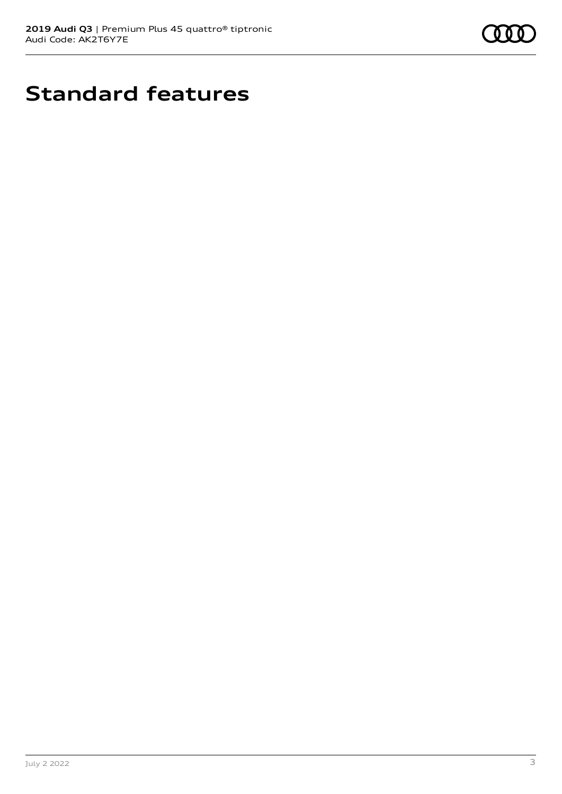

# **Standard features**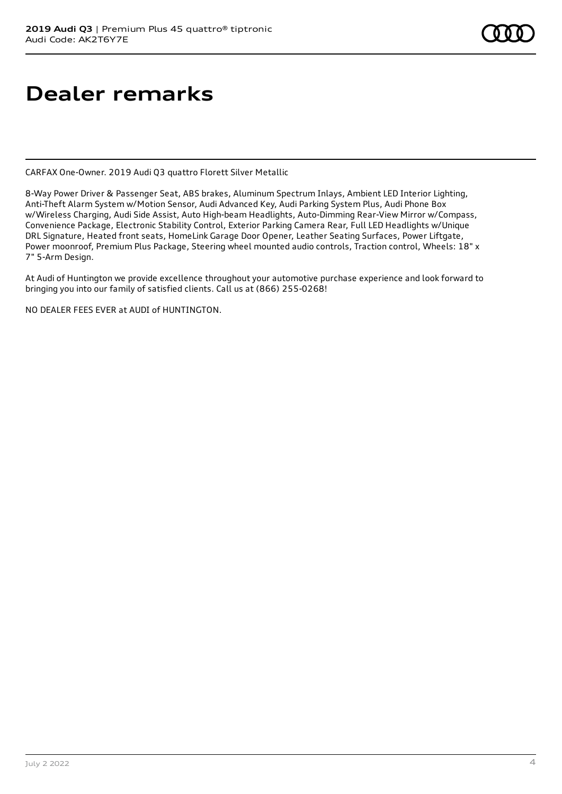# **Dealer remarks**

CARFAX One-Owner. 2019 Audi Q3 quattro Florett Silver Metallic

8-Way Power Driver & Passenger Seat, ABS brakes, Aluminum Spectrum Inlays, Ambient LED Interior Lighting, Anti-Theft Alarm System w/Motion Sensor, Audi Advanced Key, Audi Parking System Plus, Audi Phone Box w/Wireless Charging, Audi Side Assist, Auto High-beam Headlights, Auto-Dimming Rear-View Mirror w/Compass, Convenience Package, Electronic Stability Control, Exterior Parking Camera Rear, Full LED Headlights w/Unique DRL Signature, Heated front seats, HomeLink Garage Door Opener, Leather Seating Surfaces, Power Liftgate, Power moonroof, Premium Plus Package, Steering wheel mounted audio controls, Traction control, Wheels: 18" x 7" 5-Arm Design.

At Audi of Huntington we provide excellence throughout your automotive purchase experience and look forward to bringing you into our family of satisfied clients. Call us at (866) 255-0268!

NO DEALER FEES EVER at AUDI of HUNTINGTON.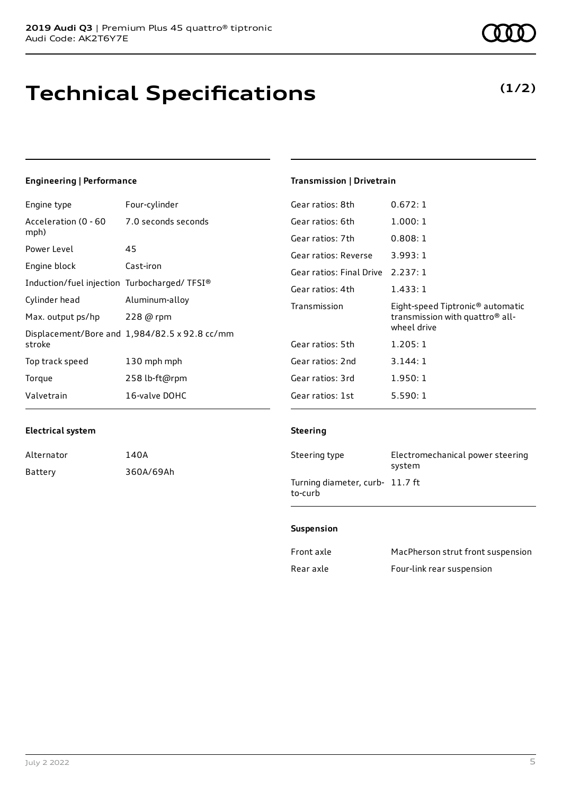# **Technical Specifications**

### **Engineering | Performance**

| Engine type                                 | Four-cylinder                                 | Gear ratios: 8th         | 0.672:1                                      |
|---------------------------------------------|-----------------------------------------------|--------------------------|----------------------------------------------|
| Acceleration (0 - 60                        | 7.0 seconds seconds                           | Gear ratios: 6th         | 1.000:1                                      |
| mph)                                        |                                               | Gear ratios: 7th         | 0.808:1                                      |
| Power Level                                 | 45                                            | Gear ratios: Reverse     | 3.993:1                                      |
| Engine block                                | Cast-iron                                     | Gear ratios: Final Drive | 2.237:1                                      |
| Induction/fuel injection Turbocharged/TFSI® |                                               | Gear ratios: 4th         | 1.433:1                                      |
| Cylinder head                               | Aluminum-alloy                                | Transmission             | Eight-speed Tiptronic <sup>®</sup> automatic |
| Max. output ps/hp                           | 228 @ rpm                                     |                          | transmission with quattro <sup>®</sup> all-  |
|                                             | Displacement/Bore and 1,984/82.5 x 92.8 cc/mm |                          | wheel drive                                  |
| stroke                                      |                                               | Gear ratios: 5th         | 1.205:1                                      |
| Top track speed                             | 130 mph mph                                   | Gear ratios: 2nd         | 3.144:1                                      |
| Torque                                      | 258 lb-ft@rpm                                 | Gear ratios: 3rd         | 1.950:1                                      |
| Valvetrain                                  | 16-valve DOHC                                 | Gear ratios: 1st         | 5.590:1                                      |

#### **Electrical system**

| Alternator | 140A      |
|------------|-----------|
| Battery    | 360A/69Ah |

## **Transmission | Drivetrain**

#### **Steering**

| Steering type                              | Electromechanical power steering<br>system |
|--------------------------------------------|--------------------------------------------|
| Turning diameter, curb- 11.7 ft<br>to-curb |                                            |

#### **Suspension**

| Front axle | MacPherson strut front suspension |
|------------|-----------------------------------|
| Rear axle  | Four-link rear suspension         |

## **(1/2)**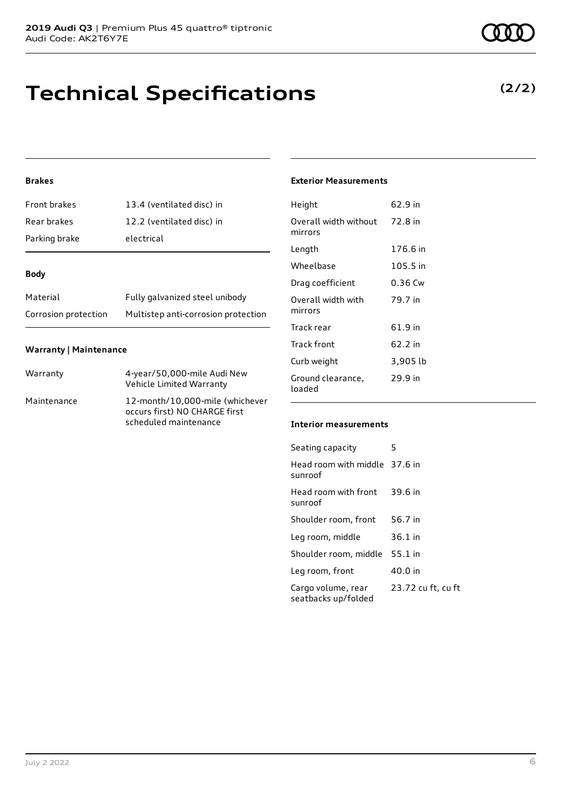## **Technical Specifications**

### **Brakes**

| <b>Front brakes</b> | 13.4 (ventilated disc) in |
|---------------------|---------------------------|
| Rear brakes         | 12.2 (ventilated disc) in |
| Parking brake       | electrical                |

#### **Body**

| Material             | Fully galvanized steel unibody      |
|----------------------|-------------------------------------|
| Corrosion protection | Multistep anti-corrosion protection |

#### **Warranty | Maintenance**

| Warranty    | 4-year/50,000-mile Audi New<br>Vehicle Limited Warranty                                   |
|-------------|-------------------------------------------------------------------------------------------|
| Maintenance | 12-month/10,000-mile (whichever<br>occurs first) NO CHARGE first<br>scheduled maintenance |

#### **Exterior Measurements**

| Height                           | 62.9 in   |
|----------------------------------|-----------|
| Overall width without<br>mirrors | 72.8 in   |
| Length                           | 176.6 in  |
| Wheelbase                        | 105.5 in  |
| Drag coefficient                 | $0.36$ Cw |
| Overall width with<br>mirrors    | 79.7 in   |
| Track rear                       | 61.9 in   |
| Track front                      | 62.2 in   |
| Curb weight                      | 3,905 lb  |
| Ground clearance,<br>loaded      | 29.9 in   |

#### **Interior measurements**

| Seating capacity                          | 5                  |
|-------------------------------------------|--------------------|
| Head room with middle 37.6 in<br>sunroof  |                    |
| Head room with front<br>sunroof           | 39.6 in            |
| Shoulder room, front                      | 56.7 in            |
| Leg room, middle                          | $36.1$ in          |
| Shoulder room, middle                     | 55.1 in            |
| Leg room, front                           | 40.0 in            |
| Cargo volume, rear<br>seatbacks up/folded | 23.72 cu ft, cu ft |

### **(2/2)**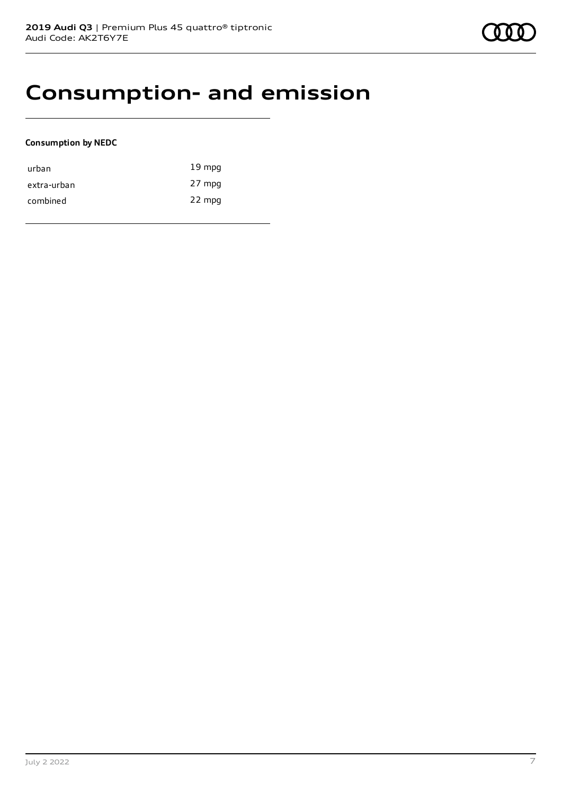## **Consumption- and emission**

#### **Consumption by NEDC**

| urban       | $19 \text{ mpg}$ |
|-------------|------------------|
| extra-urban | 27 mpg           |
| combined    | 22 mpg           |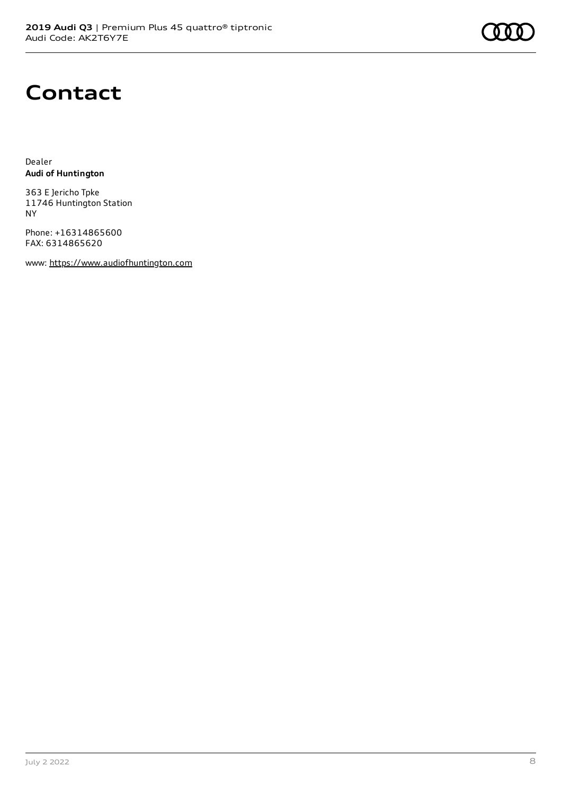# **Contact**

Dealer **Audi of Huntington**

363 E Jericho Tpke 11746 Huntington Station NY

Phone: +16314865600 FAX: 6314865620

www: [https://www.audiofhuntington.com](https://www.audiofhuntington.com/)